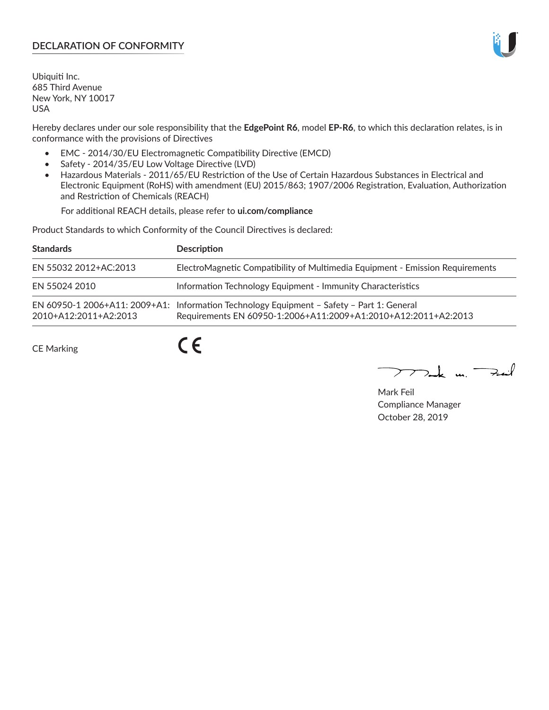## **DECLARATION OF CONFORMITY**

Ubiquiti Inc. 685 Third Avenue New York, NY 10017 USA

Hereby declares under our sole responsibility that the **EdgePoint R6**, model **EP-R6**, to which this declaration relates, is in conformance with the provisions of Directives

- EMC 2014/30/EU Electromagnetic Compatibility Directive (EMCD)
- Safety 2014/35/EU Low Voltage Directive (LVD)
- Hazardous Materials 2011/65/EU Restriction of the Use of Certain Hazardous Substances in Electrical and Electronic Equipment (RoHS) with amendment (EU) 2015/863; 1907/2006 Registration, Evaluation, Authorization and Restriction of Chemicals (REACH)

For additional REACH details, please refer to **ui.com/compliance**

Product Standards to which Conformity of the Council Directives is declared:

| <b>Standards</b>      | <b>Description</b>                                                                                                                                          |
|-----------------------|-------------------------------------------------------------------------------------------------------------------------------------------------------------|
| EN 55032 2012+AC:2013 | ElectroMagnetic Compatibility of Multimedia Equipment - Emission Requirements                                                                               |
| EN 55024 2010         | Information Technology Equipment - Immunity Characteristics                                                                                                 |
| 2010+A12:2011+A2:2013 | EN 60950-1 2006+A11: 2009+A1: Information Technology Equipment - Safety - Part 1: General<br>Requirements EN 60950-1:2006+A11:2009+A1:2010+A12:2011+A2:2013 |

CE Marking

 $C \in$ 

 $\nabla$ ak m $\nabla$ zail

Mark Feil Compliance Manager October 28, 2019

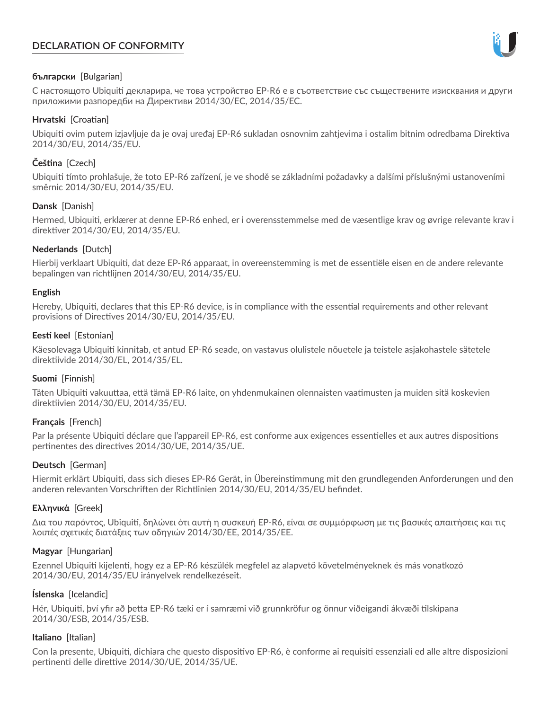# **DECLARATION OF CONFORMITY**



#### **български** [Bulgarian]

С настоящото Ubiquiti декларира, че това устройство EP-R6 е в съответствие със съществените изисквания и други приложими разпоредби на Директиви 2014/30/ЕС, 2014/35/ЕС.

## **Hrvatski** [Croatian]

Ubiquiti ovim putem izjavljuje da je ovaj uređaj EP-R6 sukladan osnovnim zahtjevima i ostalim bitnim odredbama Direktiva 2014/30/EU, 2014/35/EU.

# **Čeština** [Czech]

Ubiquiti tímto prohlašuje, že toto EP-R6 zařízení, je ve shodě se základními požadavky a dalšími příslušnými ustanoveními směrnic 2014/30/EU, 2014/35/EU.

## **Dansk** [Danish]

Hermed, Ubiquiti, erklærer at denne EP-R6 enhed, er i overensstemmelse med de væsentlige krav og øvrige relevante krav i direktiver 2014/30/EU, 2014/35/EU.

## **Nederlands** [Dutch]

Hierbij verklaart Ubiquiti, dat deze EP-R6 apparaat, in overeenstemming is met de essentiële eisen en de andere relevante bepalingen van richtlijnen 2014/30/EU, 2014/35/EU.

#### **English**

Hereby, Ubiquiti, declares that this EP-R6 device, is in compliance with the essential requirements and other relevant provisions of Directives 2014/30/EU, 2014/35/EU.

## **Eesti keel** [Estonian]

Käesolevaga Ubiquiti kinnitab, et antud EP-R6 seade, on vastavus olulistele nõuetele ja teistele asjakohastele sätetele direktiivide 2014/30/EL, 2014/35/EL.

#### **Suomi** [Finnish]

Täten Ubiquiti vakuuttaa, että tämä EP-R6 laite, on yhdenmukainen olennaisten vaatimusten ja muiden sitä koskevien direktiivien 2014/30/EU, 2014/35/EU.

## **Français** [French]

Par la présente Ubiquiti déclare que l'appareil EP-R6, est conforme aux exigences essentielles et aux autres dispositions pertinentes des directives 2014/30/UE, 2014/35/UE.

## **Deutsch** [German]

Hiermit erklärt Ubiquiti, dass sich dieses EP-R6 Gerät, in Übereinstimmung mit den grundlegenden Anforderungen und den anderen relevanten Vorschriften der Richtlinien 2014/30/EU, 2014/35/EU befindet.

#### **Ελληνικά** [Greek]

Δια του παρόντος, Ubiquiti, δηλώνει ότι αυτή η συσκευή EP-R6, είναι σε συμμόρφωση με τις βασικές απαιτήσεις και τις λοιπές σχετικές διατάξεις των οδηγιών 2014/30/EE, 2014/35/EE.

#### **Magyar** [Hungarian]

Ezennel Ubiquiti kijelenti, hogy ez a EP-R6 készülék megfelel az alapvető követelményeknek és más vonatkozó 2014/30/EU, 2014/35/EU irányelvek rendelkezéseit.

#### **Íslenska** [Icelandic]

Hér, Ubiquiti, því yfir að þetta EP-R6 tæki er í samræmi við grunnkröfur og önnur viðeigandi ákvæði tilskipana 2014/30/ESB, 2014/35/ESB.

#### **Italiano** [Italian]

Con la presente, Ubiquiti, dichiara che questo dispositivo EP-R6, è conforme ai requisiti essenziali ed alle altre disposizioni pertinenti delle direttive 2014/30/UE, 2014/35/UE.